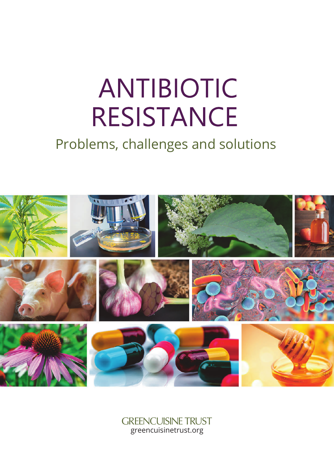# **ANTIBIOTIC RESISTANCE**

## Problems, challenges and solutions



GREENCUISINE TRUST greencuisinetrust.org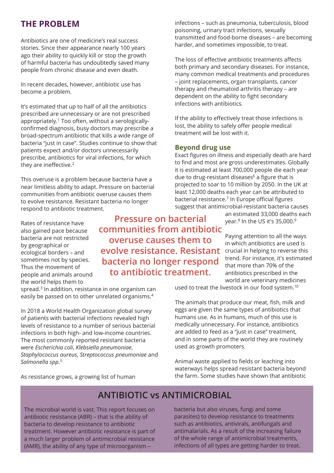## **THE PROBLEM**

Antibiotics are one of medicine's real success stories. Since their appearance nearly 100 years ago their ability to quickly kill or stop the growth of harmful bacteria has undoubtedly saved many people from chronic disease and even death.

In recent decades, however, antibiotic use has become a problem.

It's estimated that up to half of all the antibiotics prescribed are unnecessary or are not prescribed appropriately. 1 Too often, without a serologicallyconfirmed diagnosis, busy doctors may prescribe a broad-spectrum antibiotic that kills a wide range of bacteria "just in case". Studies continue to show that patients expect and/or doctors unnecessarily prescribe, antibiotics for viral infections, for which they are ineffective. 2

This overuse is a problem because bacteria have a near limitless ability to adapt. Pressure on bacterial communities from antibiotic overuse causes them to evolve resistance. Resistant bacteria no longer respond to antibiotic treatment.

Rates of resistance have also gained pace because bacteria are not restricted by geographical or ecological borders – and sometimes not by species. Thus the movement of people and animals around the world helps them to

**Pressure on bacterial communities from antibiotic overuse causes them to evolve resistance. Resistant bacteria no longer respond to antibiotic treatment.**

spread. 3 In addition, resistance in one organism can easily be passed on to other unrelated organisms. 4

In 2018 a World Health Organization global survey of patients with bacterial infections revealed high levels of resistance to a number of serious bacterial infections in both high- and low-income countries. The most commonly reported resistant bacteria were *Escherichia coli*, *Klebsiella pneumoniae*, *Staphylococcus aureus*, *Streptococcus pneumoniae* and *Salmonella spp*. 5

As resistance grows, a growing list of human

infections – such as pneumonia, tuberculosis, blood poisoning, urinary tract infections, sexually transmitted and food-borne diseases – are becoming harder, and sometimes impossible, to treat.

The loss of effective antibiotic treatments affects both primary and secondary diseases. For instance, many common medical treatments and procedures – joint replacements, organ transplants, cancer therapy and rheumatoid arthritis therapy – are dependent on the ability to fight secondary infections with antibiotics.

If the ability to effectively treat those infections is lost, the ability to safely offer people medical treatment will be lost with it.

#### **Beyond drug use**

Exact figures on illness and especially death are hard to find and most are gross underestimates. Globally it is estimated at least 700,000 people die each year due to drug-resistant diseases 6 a figure that is projected to soar to 10 million by 2050. In the UK at least 12,000 deaths each year can be attributed to bacterial resistance. 7 In Europe official figures suggest that antimicrobial-resistant bacteria causes

> an estimated 33,000 deaths each year. 8 In the US it's 35,000. 9

> Paying attention to all the ways in which antibiotics are used is crucial in helping to reverse this trend. For instance, it's estimated that more than 70% of the antibiotics prescribed in the world are veterinary medicines

used to treat the livestock in our food system. 10

The animals that produce our meat, fish, milk and eggs are given the same types of antibiotics that humans use. As in humans, much of this use is medically unnecessary. For instance, antibiotics are added to feed as a "just in case" treatment, and in some parts of the world they are routinely used as growth promoters.

Animal waste applied to fields or leaching into waterways helps spread resistant bacteria beyond the farm. Some studies have shown that antibiotic

## **ANTIBIOTIC vs ANTIMICROBIAL**

The microbial world is vast. This report focuses on antibiotic resistance (ABR) – that is the ability of bacteria to develop resistance to antibiotic treatment. However antibiotic resistance is part of a much larger problem of antimicrobial resistance (AMR), the ability of any type of microorganism –

bacteria but also viruses, fungi and some parasites) to develop resistance to treatments such as antibiotics, antivirals, antifungals and antimalarials. As a result of the increasing failure of the whole range of antimicrobial treatments, infections of all types are getting harder to treat.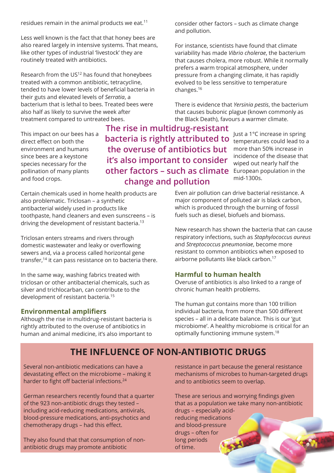residues remain in the animal products we eat. $11$ 

Less well known is the fact that that honey bees are also reared largely in intensive systems. That means, like other types of industrial 'livestock' they are routinely treated with antibiotics.

Research from the US<sup>12</sup> has found that honeybees treated with a common antibiotic, tetracycline, tended to have lower levels of beneficial bacteria in their guts and elevated levels of *Serratia*, a bacterium that is lethal to bees. Treated bees were also half as likely to survive the week after treatment compared to untreated bees.

This impact on our bees has a direct effect on both the environment and humans since bees are a keystone species necessary for the pollination of many plants and food crops.

**other factors – such as climate** European population in the **The rise in multidrug-resistant bacteria is rightly attributed to the overuse of antibiotics but it's also important to consider change and pollution**

Certain chemicals used in home health products are also problematic. Triclosan – a synthetic antibacterial widely used in products like toothpaste, hand cleaners and even sunscreens – is driving the development of resistant bacteria. 13

Triclosan enters streams and rivers through domestic wastewater and leaky or overflowing sewers and, via a process called horizontal gene transfer, 14 it can pass resistance on to bacteria there.

In the same way, washing fabrics treated with triclosan or other antibacterial chemicals, such as silver and trichlocarban, can contribute to the development of resistant bacteria. 15

#### **Environmental amplifiers**

Although the rise in multidrug-resistant bacteria is rightly attributed to the overuse of antibiotics in human and animal medicine, it's also important to consider other factors – such as climate change and pollution.

For instance, scientists have found that climate variability has made *Vibrio cholerae*, the bacterium that causes cholera, more robust. While it normally prefers a warm tropical atmosphere, under pressure from a changing climate, it has rapidly evolved to be less sensitive to temperature changes. 16

There is evidence that *Yersinia pestis*, the bacterium that causes bubonic plague (known commonly as the Black Death), favours a warmer climate.

> Just a 1°C increase in spring temperatures could lead to a more than 50% increase in incidence of the disease that wiped out nearly half the mid-1300s.

Even air pollution can drive bacterial resistance. A major component of polluted air is black carbon, which is produced through the burning of fossil fuels such as diesel, biofuels and biomass.

New research has shown the bacteria that can cause respiratory infections, such as *Staphylococcus aureus* and *Streptococcus pneumoniae*, become more resistant to common antibiotics when exposed to airborne pollutants like black carbon. 17

#### **Harmful to human health**

Overuse of antibiotics is also linked to a range of chronic human health problems.

The human gut contains more than 100 trillion individual bacteria, from more than 500 different species – all in a delicate balance. This is our 'gut microbiome'. A healthy microbiome is critical for an optimally functioning immune system. 18

## **THE INFLUENCE OF NON-ANTIBIOTIC DRUGS**

Several non-antibiotic medications can have a devastating effect on the microbiome – making it harder to fight off bacterial infections. 24

German researchers recently found that a quarter of the 923 non-antibiotic drugs they tested – including acid-reducing medications, antivirals, blood-pressure medications, anti-psychotics and chemotherapy drugs – had this effect.

They also found that that consumption of nonantibiotic drugs may promote antibiotic

resistance in part because the general resistance mechanisms of microbes to human-targeted drugs and to antibiotics seem to overlap.

These are serious and worrying findings given that as a population we take many non-antibiotic drugs – especially acidreducing medications and blood-pressure drugs – often for long periods of time.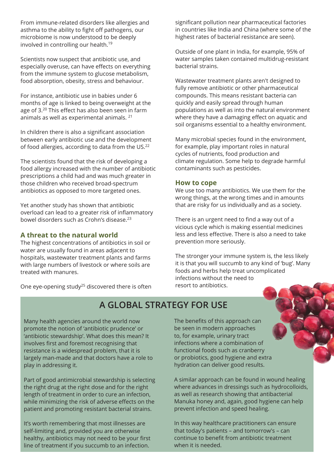From immune-related disorders like allergies and asthma to the ability to fight off pathogens, our microbiome is now understood to be deeply involved in controlling our health. 19

Scientists now suspect that antibiotic use, and especially overuse, can have effects on everything from the immune system to glucose metabolism, food absorption, obesity, stress and behaviour.

For instance, antibiotic use in babies under 6 months of age is linked to being overweight at the age of 3. 20 This effect has also been seen in farm animals as well as experimental animals. 21

In children there is also a significant association between early antibiotic use and the development of food allergies, according to data from the US.<sup>22</sup>

The scientists found that the risk of developing a food allergy increased with the number of antibiotic prescriptions a child had and was much greater in those children who received broad-spectrum antibiotics as opposed to more targeted ones.

Yet another study has shown that antibiotic overload can lead to a greater risk of inflammatory bowel disorders such as Crohn's disease. 23

#### **A threat to the natural world**

The highest concentrations of antibiotics in soil or water are usually found in areas adjacent to hospitals, wastewater treatment plants and farms with large numbers of livestock or where soils are treated with manures.

One eye-opening study<sup>25</sup> discovered there is often

significant pollution near pharmaceutical factories in countries like India and China (where some of the highest rates of bacterial resistance are seen).

Outside of one plant in India, for example, 95% of water samples taken contained multidrug-resistant bacterial strains.

Wastewater treatment plants aren't designed to fully remove antibiotic or other pharmaceutical compounds. This means resistant bacteria can quickly and easily spread through human populations as well as into the natural environment where they have a damaging effect on aquatic and soil organisms essential to a healthy environment.

Many microbial species found in the environment, for example, play important roles in natural cycles of nutrients, food production and climate regulation. Some help to degrade harmful contaminants such as pesticides.

#### **How to cope**

We use too many antibiotics. We use them for the wrong things, at the wrong times and in amounts that are risky for us individually and as a society.

There is an urgent need to find a way out of a vicious cycle which is making essential medicines less and less effective. There is also a need to take prevention more seriously.

The stronger your immune system is, the less likely it is that you will succumb to any kind of 'bug'. Many foods and herbs help treat uncomplicated infections without the need to resort to antibiotics.

## **A GLOBAL STRATEGY FOR USE**

Many health agencies around the world now promote the notion of 'antibiotic prudence' or 'antibiotic stewardship'. What does this mean? It involves first and foremost recognising that resistance is a widespread problem, that it is largely man-made and that doctors have a role to play in addressing it.

Part of good antimicrobial stewardship is selecting the right drug at the right dose and for the right length of treatment in order to cure an infection, while minimizing the risk of adverse effects on the patient and promoting resistant bacterial strains.

It's worth remembering that most illnesses are self-limiting and, provided you are otherwise healthy, antibiotics may not need to be your first line of treatment if you succumb to an infection.

The benefits of this approach can be seen in modern approaches to, for example, urinary tract infections where a combination of functional foods such as cranberry or probiotics, good hygiene and extra hydration can deliver good results.

A similar approach can be found in wound healing where advances in dressings such as hydrocolloids, as well as research showing that antibacterial Manuka honey and, again, good hygiene can help prevent infection and speed healing.

In this way healthcare practitioners can ensure that today's patients – and tomorrow's – can continue to benefit from antibiotic treatment when it is needed.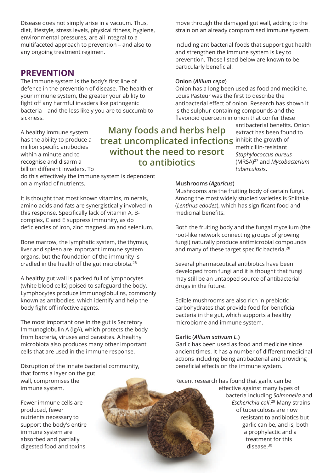Disease does not simply arise in a vacuum. Thus, diet, lifestyle, stress levels, physical fitness, hygiene, environmental pressures, are all integral to a multifaceted approach to prevention – and also to any ongoing treatment regimen.

#### **PREVENTION**

The immune system is the body's first line of defence in the prevention of disease. The healthier your immune system, the greater your ability to fight off any harmful invaders like pathogenic bacteria – and the less likely you are to succumb to sickness.

A healthy immune system has the ability to produce a million specific antibodies within a minute and to recognise and disarm a billion different invaders. To **treat uncomplicated infections** inhibit the growth of **Many foods and herbs help without the need to resort to antibiotics**

do this effectively the immune system is dependent on a myriad of nutrients.

It is thought that most known vitamins, minerals, amino acids and fats are synergistically involved in this response. Specifically lack of vitamin A, Bcomplex, C and E suppress immunity, as do deficiencies of iron, zinc magnesium and selenium.

Bone marrow, the lymphatic system, the thymus, liver and spleen are important immune system organs, but the foundation of the immunity is cradled in the health of the gut microbiota. 26

A healthy gut wall is packed full of lymphocytes (white blood cells) poised to safeguard the body. Lymphocytes produce immunoglobulins, commonly known as antibodies, which identify and help the body fight off infective agents.

The most important one in the gut is Secretory Immunoglobulin A (IgA), which protects the body from bacteria, viruses and parasites. A healthy microbiota also produces many other important cells that are used in the immune response.

Disruption of the innate bacterial community, that forms a layer on the gut wall, compromises the immune system.

Fewer immune cells are produced, fewer nutrients necessary to support the body's entire immune system are absorbed and partially digested food and toxins

#### **Mushrooms (***Agaricus***)**

particularly beneficial.

**Onion (***Allium cepa***)**

Mushrooms are the fruiting body of certain fungi. Among the most widely studied varieties is Shiitake (*Lentinus edodes*), which has significant food and medicinal benefits.

move through the damaged gut wall, adding to the strain on an already compromised immune system.

Including antibacterial foods that support gut health

Onion has a long been used as food and medicine.

antibacterial effect of onion. Research has shown it is the sulphur-containing compounds and the flavonoid quercetin in onion that confer these

> antibacterial benefits. Onion extract has been found to

(MRSA) 27 and *Mycobacterium*

methicillin-resistant *Staphylococcus aureus*

*tuberculosi*s.

and strengthen the immune system is key to prevention. Those listed below are known to be

Louis Pasteur was the first to describe the

Both the fruiting body and the fungal mycelium (the root-like network connecting groups of growing fungi) naturally produce antimicrobial compounds and many of these target specific bacteria. 28

Several pharmaceutical antibiotics have been developed from fungi and it is thought that fungi may still be an untapped source of antibacterial drugs in the future.

Edible mushrooms are also rich in prebiotic carbohydrates that provide food for beneficial bacteria in the gut, which supports a healthy microbiome and immune system.

#### **Garlic (***Allium sativum L.***)**

Garlic has been used as food and medicine since ancient times. It has a number of different medicinal actions including being antibacterial and providing beneficial effects on the immune system.

Recent research has found that garlic can be

effective against many types of bacteria including *Salmonella* and *Escherichia coli*. <sup>29</sup> Many strains of tuberculosis are now resistant to antibiotics but garlic can be, and is, both a prophylactic and a treatment for this disease. 30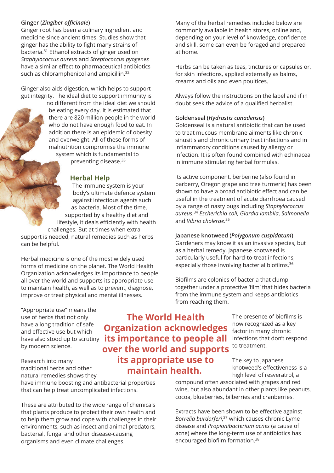#### **Ginger (***Zingiber officinale***)**

Ginger root has been a culinary ingredient and medicine since ancient times. Studies show that ginger has the ability to fight many strains of bacteria. 31 Ethanol extracts of ginger used on *Staphylococcus aureus* and *Streptococcus pyogenes* have a similar effect to pharmaceutical antibiotics such as chloramphenicol and ampicillin.<sup>32</sup>

Ginger also aids digestion, which helps to support gut integrity. The ideal diet to support immunity is

no different from the ideal diet we should be eating every day. It is estimated that there are 820 million people in the world who do not have enough food to eat. In addition there is an epidemic of obesity and overweight. All of these forms of malnutrition compromise the immune system which is fundamental to

preventing disease. 33

#### **Herbal Help**

The immune system is your body's ultimate defence system against infectious agents such as bacteria. Most of the time, supported by a healthy diet and lifestyle, it deals efficiently with health challenges. But at times when extra support is needed, natural remedies such as herbs can be helpful.

Herbal medicine is one of the most widely used forms of medicine on the planet. The World Health Organization acknowledges its importance to people all over the world and supports its appropriate use to maintain health, as well as to prevent, diagnose, improve or treat physical and mental illnesses.

"Appropriate use" means the use of herbs that not only have a long tradition of safe and effective use but which by modern science.

Research into many traditional herbs and other natural remedies shows they

have immune boosting and antibacterial properties that can help treat uncomplicated infections.

These are attributed to the wide range of chemicals that plants produce to protect their own health and to help them grow and cope with challenges in their environments, such as insect and animal predators, bacterial, fungal and other disease-causing organisms and even climate challenges.

Many of the herbal remedies included below are commonly available in health stores, online and, depending on your level of knowledge, confidence and skill, some can even be foraged and prepared at home.

Herbs can be taken as teas, tinctures or capsules or, for skin infections, applied externally as balms, creams and oils and even poultices.

Always follow the instructions on the label and if in doubt seek the advice of a qualified herbalist.

#### **Goldenseal (***Hydrastis canadensis***)**

Goldenseal is a natural antibiotic that can be used to treat mucous membrane ailments like chronic sinusitis and chronic urinary tract infections and in inflammatory conditions caused by allergy or infection. It is often found combined with echinacea in immune stimulating herbal formulas.

Its active component, berberine (also found in barberry, Oregon grape and tree turmeric) has been shown to have a broad antibiotic effect and can be useful in the treatment of acute diarrhoea caused by a range of nasty bugs including *Staphylococcus aureus*, 34 *Escherichia coli*, *Giardia lamblia*, *Salmonella* and *Vibrio cholerae*. 35

#### **Japanese knotweed (***Polygonum cuspidatum***)**

Gardeners may know it as an invasive species, but as a herbal remedy, Japanese knotweed is particularly useful for hard-to-treat infections, especially those involving bacterial biofilms. 36

Biofilms are colonies of bacteria that clump together under a protective 'film' that hides bacteria from the immune system and keeps antibiotics from reaching them.

> The presence of biofilms is now recognized as a key factor in many chronic infections that don't respond to treatment.

The key to Japanese knotweed's effectiveness is a high level of resveratrol, a

compound often associated with grapes and red wine, but also abundant in other plants like peanuts, cocoa, blueberries, bilberries and cranberries.

Extracts have been shown to be effective against *Borrelia burdorferi*, <sup>37</sup> which causes chronic Lyme disease and *Propionibacterium acnes* (a cause of acne) where the long-term use of antibiotics has encouraged biofilm formation. 38

have also stood up to scrutiny **its importance to people all The World Health Organization acknowledges over the world and supports**

## **its appropriate use to maintain health.**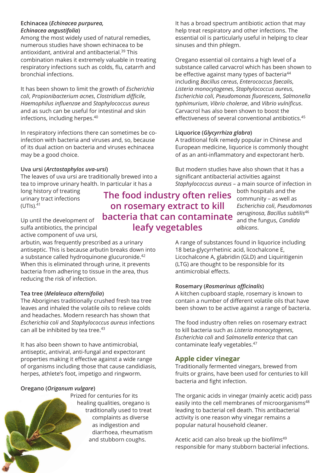#### **Echinacea (***Echinacea purpurea, Echinacea angustifolia***)**

Among the most widely used of natural remedies, numerous studies have shown echinacea to be antioxidant, antiviral and antibacterial.<sup>39</sup> This combination makes it extremely valuable in treating respiratory infections such as colds, flu, catarrh and bronchial infections.

It has been shown to limit the growth of *Escherichia coli*, *Propionibacterium acnes*, *Clostridium difficile*, *Haemophilus influenzae* and *Staphylococcus aureus* and as such can be useful for intestinal and skin infections, including herpes. 40

In respiratory infections there can sometimes be coinfection with bacteria and viruses and, so, because of its dual action on bacteria and viruses echinacea may be a good choice.

#### **Uva ursi (***Arctostaphylos uva-ursi***)**

The leaves of uva ursi are traditionally brewed into a tea to improve urinary health. In particular it has a

long history of treating urinary tract infections (UTIs). 41

Up until the development of sulfa antibiotics, the principal active component of uva ursi,

arbutin, was frequently prescribed as a urinary antiseptic. This is because arbutin breaks down into a substance called hydroquinone glucuronide.<sup>42</sup> When this is eliminated through urine, it prevents bacteria from adhering to tissue in the area, thus reducing the risk of infection.

#### **Tea tree (***Melaleuca alternifolia***)**

The Aborigines traditionally crushed fresh tea tree leaves and inhaled the volatile oils to relieve colds and headaches. Modern research has shown that *Escherichia coli* and *Staphylococcus aureus* infections can all be inhibited by tea tree. 43

It has also been shown to have antimicrobial, antiseptic, antiviral, anti-fungal and expectorant properties making it effective against a wide range of organisms including those that cause candidiasis, herpes, athlete's foot, impetigo and ringworm.

#### **Oregano (***Origanum vulgare***)**

Prized for centuries for its healing qualities, oregano is traditionally used to treat complaints as diverse as indigestion and diarrhoea, rheumatism and stubborn coughs.

It has a broad spectrum antibiotic action that may help treat respiratory and other infections. The essential oil is particularly useful in helping to clear sinuses and thin phlegm.

Oregano essential oil contains a high level of a substance called carvacrol which has been shown to be effective against many types of bacteria<sup>44</sup> including *Bacillus cereus*, *Enterococcus faecalis*, *Listeria monocytogenes*, *Staphylococcus aureus*, *Escherichia coli*, *Pseudomonas fluorescens*, *Salmonella typhimurium*, *Vibrio cholerae*, and *Vibrio vulnificus*. Carvacrol has also been shown to boost the effectiveness of several conventional antibiotics. 45

#### **Liquorice (***Glycyrrhiza glabra***)**

A traditional folk remedy popular in Chinese and European medicine, liquorice is commonly thought of as an anti-inflammatory and expectorant herb.

But modern studies have also shown that it has a significant antibacterial activities against *Staphylococcus aureus* – a main source of infection in

## **The food industry often relies on rosemary extract to kill bacteria that can contaminate leafy vegetables**

both hospitals and the community – as well as *Escherichia coli*, *Pseudomonas aeruginosa*, *Bacillus subtilis* 46 and the fungus, *Candida albicans*.

A range of substances found in liquorice including 18 beta-glycyrrhetinic acid, licochalcone E, Licochalcone A, glabridin (GLD) and Liquiritigenin (LTG) are thought to be responsible for its antimicrobial effects.

#### **Rosemary (***Rosmarinus officinalis***)**

A kitchen cupboard staple, rosemary is known to contain a number of different volatile oils that have been shown to be active against a range of bacteria.

The food industry often relies on rosemary extract to kill bacteria such as *Listeria monocytogenes*, *Escherichia coli* and *Salmonella enterica* that can contaminate leafy vegetables. 47

#### **Apple cider vinegar**

Traditionally fermented vinegars, brewed from fruits or grains, have been used for centuries to kill bacteria and fight infection.

The organic acids in vinegar (mainly acetic acid) pass easily into the cell membranes of microorganisms 48 leading to bacterial cell death. This antibacterial activity is one reason why vinegar remains a popular natural household cleaner.

Acetic acid can also break up the biofilms 49 responsible for many stubborn bacterial infections.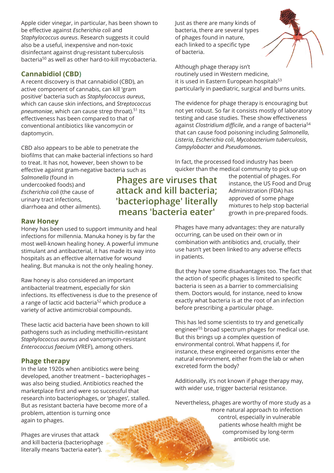Apple cider vinegar, in particular, has been shown to be effective against *Escherichia coli* and *Staphylococcus aureus*. Research suggests it could also be a useful, inexpensive and non-toxic disinfectant against drug-resistant tuberculosis bacteria 50 as well as other hard-to-kill mycobacteria.

#### **Cannabidiol (CBD)**

A recent discovery is that cannabidiol (CBD), an active component of cannabis, can kill 'gram positive' bacteria such as *Staphylococcus aureus*, which can cause skin infections, and *Streptococcus pneumoniae*, which can cause strep throat). 51 Its effectiveness has been compared to that of conventional antibiotics like vancomycin or daptomycin.

CBD also appears to be able to penetrate the biofilms that can make bacterial infections so hard to treat. It has not, however, been shown to be effective against gram-negative bacteria such as

*Salmonella* (found in undercooked foods) and *Escherichia coli* (the cause of urinary tract infections, diarrhoea and other ailments).

**Raw Honey**

Honey has been used to support immunity and heal infections for millennia. Manuka honey is by far the most well-known healing honey. A powerful immune stimulant and antibacterial, it has made its way into hospitals as an effective alternative for wound healing. But manuka is not the only healing honey.

Raw honey is also considered an important antibacterial treatment, especially for skin infections. Its effectiveness is due to the presence of a range of lactic acid bacteria <sup>52</sup> which produce a variety of active antimicrobial compounds.

These lactic acid bacteria have been shown to kill pathogens such as including methicillin-resistant *Staphylococcus aureus* and vancomycin-resistant *Enterococcus faecium* (VREF), among others.

#### **Phage therapy**

In the late 1920s when antibiotics were being developed, another treatment – bacteriophages – was also being studied. Antibiotics reached the marketplace first and were so successful that research into bacteriophages, or 'phages', stalled. But as resistant bacteria have become more of a problem, attention is turning once again to phages.

Phages are viruses that attack and kill bacteria (bacteriophage literally means 'bacteria eater').

**Phages are viruses that attack and kill bacteria; 'bacteriophage' literally means 'bacteria eater'**

of bacteria.

the potential of phages. For instance, the US Food and Drug Administration (FDA) has approved of some phage mixtures to help stop bacterial growth in pre-prepared foods.

Phages have many advantages: they are naturally occurring, can be used on their own or in combination with antibiotics and, crucially, their use hasn't yet been linked to any adverse effects in patients.

But they have some disadvantages too. The fact that the action of specific phages is limited to specific bacteria is seen as a barrier to commercialising them. Doctors would, for instance, need to know exactly what bacteria is at the root of an infection before prescribing a particular phage.

This has led some scientists to try and genetically engineer <sup>55</sup> broad spectrum phages for medical use. But this brings up a complex question of environmental control. What happens if, for instance, these engineered organisms enter the natural environment, either from the lab or when excreted form the body?

Additionally, it's not known if phage therapy may, with wider use, trigger bacterial resistance.

Nevertheless, phages are worthy of more study as a more natural approach to infection control, especially in vulnerable patients whose health might be compromised by long-term antibiotic use.



Although phage therapy isn't routinely used in Western medicine, it is used in Eastern European hospitals 53 particularly in paediatric, surgical and burns units.

The evidence for phage therapy is encouraging but not yet robust. So far it consists mostly of laboratory testing and case studies. These show effectiveness against *Clostridium difficile*, and a range of bacteria 54 that can cause food poisoning including *Salmonella*, *Listeria*, *Escherichia coli*, *Mycobacterium tuberculosis*, *Campylobacter* and *Pseudomona*s.

In fact, the processed food industry has been quicker than the medical community to pick up on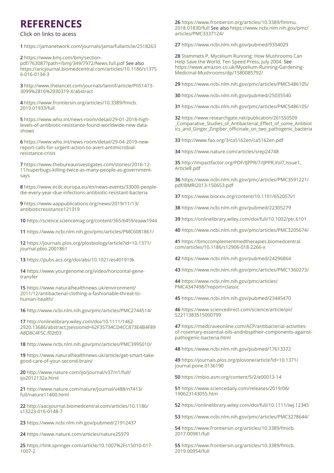## **REFERENCES**

Click on links to acess

**1** <https://jamanetwork.com/journals/jama/fullarticle/2518263>

**2** https://www.bmj.com/bmj/sectionp[df/763087?path=/bmj/349/7972/News.full.pdf](https://www.bmj.com/bmj/section-pdf/763087?path=/bmj/349/7972/News.full.pdf ) See also [https://aricjournal.biomedcentral.com/articles/10.1186/s1375](https://aricjournal.biomedcentral.com/articles/10.1186/s13756-016-0134-3 ) 6-016-0134-3

**3** [http://www.thelancet.com/journals/laninf/article/PIIS1473-](http://www.thelancet.com/journals/laninf/article/PIIS1473-3099%2816%2930319-X/abstract   ) 3099%2816%2930319-X/abstract

**4** [https://www.frontiersin.org/articles/10.3389/fmicb.](https://www.frontiersin.org/articles/10.3389/fmicb.2019.01933/full) 2019.01933/full

**5** [https://www.who.int/news-room/detail/29-01-2018-high](https://www.who.int/news-room/detail/29-01-2018-high-levels-of-antibiotic-resistance-found-worldwide-new-data-shows)levels-of-antibiotic-resistance-found-worldwide-new-datashows

**6** [https://www.who.int/news-room/detail/29-04-2019-new](https://www.who.int/news-room/detail/29-04-2019-new-report-calls-for-urgent-action-to-avert-antimicrobial-resistance-crisis)report-calls-for-urgent-action-to-avert-antimicrobialresistance-crisis

**7** https://www.thebureauinvestigates.com/stories/2016-12- 1[1/superbugs-killing-twice-as-many-people-as-government](https://www.thebureauinvestigates.com/stories/2016-12-11/superbugs-killing-twice-as-many-people-as-government-says)says

**8** [https://www.ecdc.europa.eu/en/news-events/33000-peop](https://www.ecdc.europa.eu/en/news-events/33000-people-die-every-year-due-infections-antibiotic-resistant-bacteria )ledie-every-year-due-infections-antibiotic-resistant-bacteria

**9** [https://www.aappublications.org/news/2019/11/13/](https://www.aappublications.org/news/2019/11/13/antibioticresistance121319  ) antibioticresistance121319

**10** [https://science.sciencemag.org/content/365/6459/eaaw1944](https://science.sciencemag.org/content/365/6459/eaaw1944  )

**11** <https://www.ncbi.nlm.nih.gov/pmc/articles/PMC6081861/>

**12** [https://journals.plos.org/plosbiology/article?id=10.1371/](https://journals.plos.org/plosbiology/article?id=10.1371/journal.pbio.2001861) journal.pbio.2001861

**13** [https://pubs.acs.org/doi/abs/10.1021/es401919k](https://pubs.acs.org/doi/abs/10.1021/es401919k )

**14** [https://www.yourgenome.org/video/horizontal-gene](https://www.yourgenome.org/video/horizontal-gene-transfer   )transfer

**15** https://www.naturalhealthnews.uk/environment/ 20[11/12/antibacterial-clothing-a-fashionable-threat-to](https://www.naturalhealthnews.uk/environment/2011/12/antibacterial-clothing-a-fashionable-threat-to-human-health/ )human-health/

**16** [http://www.ncbi.nlm.nih.gov/pmc/articles/PMC2744514/](http://www.ncbi.nlm.nih.gov/pmc/articles/PMC2744514/ )

**17** http://onlinelibrary.wiley.com/doi/10.1111/1462- 29[20.13686/abstract;jsessionid=62F35734CD4CC873E4B4F89](http://onlinelibrary.wiley.com/doi/10.1111/1462-2920.13686/abstract;jsessionid=62F35734CD4CC873E4B4F89A8D8C4F5C.f02t03 ) A8D8C4F5C.f02t03

**18** [http://www.ncbi.nlm.nih.gov/pmc/articles/PMC3995010/](http://www.ncbi.nlm.nih.gov/pmc/articles/PMC3995010/ )

**19** [https://www.naturalhealthnews.uk/article/get-smart-take](https://www.naturalhealthnews.uk/article/get-smart-take-good-care-of-your-second-brain/)good-care-of-your-second-brain/

**20** [http://www.nature.com/ijo/journal/v37/n1/full/](http://www.nature.com/ijo/journal/v37/n1/full/ijo2012132a.html   ) ijo2012132a.html

**21** [http://www.nature.com/nature/journal/v488/n7413/](http://www.nature.com/nature/journal/v488/n7413/full/nature11400.html) full/nature11400.html

**22** [http://aacijournal.biomedcentral.com/articles/10.1186/](http://aacijournal.biomedcentral.com/articles/10.1186/s13223-016-0148-7 ) s13223-016-0148-7

**23** <https://www.ncbi.nlm.nih.gov/pubmed/21912437>

**24** [https://www.nature.com/articles/nature25979](https://www.nature.com/articles/nature25979 )

**25** [https://link.springer.com/article/10.1007%2Fs15010-017-](https://link.springer.com/article/10.1007%2Fs15010-017-1007-2) 1007-2

**26** [https://www.frontiersin.org/articles/10.3389/fimmu.](https://www.frontiersin.org/articles/10.3389/fimmu.2018.01830/full ) 2018.01830/full See also [https://www.ncbi.nlm.nih.gov/pmc/](https://www.ncbi.nlm.nih.gov/pmc/ articles/PMC3337124/) articles/PMC3337124/

**27** <https://www.ncbi.nlm.nih.gov/pubmed/9354029>

**28** Stammets P, Mycelium Running: How Mushrooms Can Help Save the World, Ten Speed Press, July 2004. See [https://www.amazon.co.uk/Mycelium-Running-Gardening-](https://www.amazon.co.uk/Mycelium-Running-Gardening-Medicinal-Mushrooms/dp/1580085792/)Medicinal-Mushrooms/dp/1580085792/

**29** [https://www.ncbi.nlm.nih.gov/pmc/articles/PMC5486105/](https://www.ncbi.nlm.nih.gov/pmc/articles/PMC5486105/ )

**30** <https://www.ncbi.nlm.nih.gov/pubmed/25035540>

**31** <https://www.ncbi.nlm.nih.gov/pmc/articles/PMC5486105/>

**32** https://www.researchgate.net/publication/261550509 \_Comparative\_Studies\_of\_Antibacterial\_Effect\_of\_some\_Antibiot ics[\\_and\\_Ginger\\_Zingiber\\_officinale\\_on\\_two\\_pathogenic\\_bacteria](https://www.researchgate.net/publication/261550509 _Comparative_Studies_of_Antibacterial_Effect_of_some_Antibiotics_and_Ginger_Zingiber_officinale_on_two_pathogenic_bacteria)

**33** <http://www.fao.org/3/ca5162en/ca5162en.pdf>

**34** [https://www.nature.com/articles/srep24748](https://www.nature.com/articles/srep24748 )

**35** [http://impactfactor.org/PDF/IJPPR/7/IJPPR,Vol7,Issue1,](http://impactfactor.org/PDF/IJPPR/7/IJPPR,Vol7,Issue1,Article8.pdf ) Article8.pdf

**36** [https://www.ncbi.nlm.nih.gov/pmc/articles/PMC3591221/](https://www.ncbi.nlm.nih.gov/pmc/articles/PMC3591221/pdf/BMRI2013-150653.pdf ) pdf/BMRI2013-150653.pdf

**37** [https://www.biorxiv.org/content/10.1101/652057v1](https://www.biorxiv.org/content/10.1101/652057v1 )

**38** [https://www.ncbi.nlm.nih.gov/pubmed/22305279](https://www.ncbi.nlm.nih.gov/pubmed/22305279 )

**39** <https://onlinelibrary.wiley.com/doi/full/10.1002/ptr.6101>

**40** [https://www.ncbi.nlm.nih.gov/pmc/articles/PMC3205674/](https://www.ncbi.nlm.nih.gov/pmc/articles/PMC3205674/ )

**41** [https://bmccomplementmedtherapies.biomedcentral.](https://bmccomplementmedtherapies.biomedcentral. com/articles/10.1186/s12906-018-2266-x ) com/articles/10.1186/s12906-018-2266-x

**42** [https://www.ncbi.nlm.nih.gov/pubmed/24296864](https://www.ncbi.nlm.nih.gov/pubmed/24296864 )

**43** [https://www.ncbi.nlm.nih.gov/pmc/articles/PMC1360273/](https://www.ncbi.nlm.nih.gov/pmc/articles/PMC1360273/ )

**44** [https://www.ncbi.nlm.nih.gov/pmc/articles/](https://www.ncbi.nlm.nih.gov/pmc/articles/ PMC4347498/?report=classic ) PMC4347498/?report=classic

**45** [https://www.ncbi.nlm.nih.gov/pubmed/23445470](https://www.ncbi.nlm.nih.gov/pubmed/23445470 )

**46** [https://www.sciencedirect.com/science/article/pii/](https://www.sciencedirect.com/science/article/pii/S2211383515000799 ) S2211383515000799

**47** https://medcraveonline.com/ACP/antibacterial-activitiesof-[rosemary-essential-oils-andnbsptheir-components-against](https://medcraveonline.com/ACP/antibacterial-activities-of-rosemary-essential-oils-andnbsptheir-components-against-pathogenic-bacteria.html )pathogenic-bacteria.html

**48** [https://www.ncbi.nlm.nih.gov/pubmed/17613372](https://www.ncbi.nlm.nih.gov/pubmed/17613372 )

**49** [https://journals.plos.org/plosone/article?id=10.1371/](https://journals.plos.org/plosone/article?id=10.1371/journal.pone.0136190 ) journal.pone.0136190

**50** <https://mbio.asm.org/content/5/2/e00013-14>

**51** [https://www.sciencedaily.com/releases/2019/06/](https://www.sciencedaily.com/releases/2019/06/190623143055.htm ) 190623143055.htm

**52** [https://onlinelibrary.wiley.com/doi/full/10.1111/iwj.12345](https://onlinelibrary.wiley.com/doi/full/10.1111/iwj.12345 )

**53** <https://www.ncbi.nlm.nih.gov/pmc/articles/PMC3278644/>

**54** [https://www.frontiersin.org/articles/10.3389/fmicb.](https://www.frontiersin.org/articles/10.3389/fmicb.2017.00981/full) 2017.00981/full

**55** [https://www.frontiersin.org/articles/10.3389/fmicb.](https://www.frontiersin.org/articles/10.3389/fmicb.2019.00954/full) 2019.00954/full